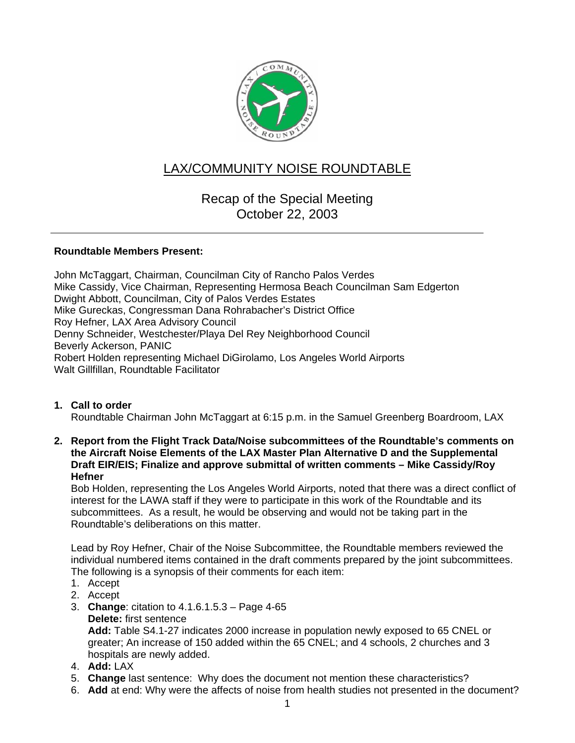

# LAX/COMMUNITY NOISE ROUNDTABLE

Recap of the Special Meeting October 22, 2003

## **Roundtable Members Present:**

John McTaggart, Chairman, Councilman City of Rancho Palos Verdes Mike Cassidy, Vice Chairman, Representing Hermosa Beach Councilman Sam Edgerton Dwight Abbott, Councilman, City of Palos Verdes Estates Mike Gureckas, Congressman Dana Rohrabacher's District Office Roy Hefner, LAX Area Advisory Council Denny Schneider, Westchester/Playa Del Rey Neighborhood Council Beverly Ackerson, PANIC Robert Holden representing Michael DiGirolamo, Los Angeles World Airports Walt Gillfillan, Roundtable Facilitator

- **1. Call to order**  Roundtable Chairman John McTaggart at 6:15 p.m. in the Samuel Greenberg Boardroom, LAX
- **2. Report from the Flight Track Data/Noise subcommittees of the Roundtable's comments on the Aircraft Noise Elements of the LAX Master Plan Alternative D and the Supplemental Draft EIR/EIS; Finalize and approve submittal of written comments – Mike Cassidy/Roy Hefner**

Bob Holden, representing the Los Angeles World Airports, noted that there was a direct conflict of interest for the LAWA staff if they were to participate in this work of the Roundtable and its subcommittees. As a result, he would be observing and would not be taking part in the Roundtable's deliberations on this matter.

Lead by Roy Hefner, Chair of the Noise Subcommittee, the Roundtable members reviewed the individual numbered items contained in the draft comments prepared by the joint subcommittees. The following is a synopsis of their comments for each item:

- 1. Accept
- 2. Accept
- 3. **Change**: citation to 4.1.6.1.5.3 Page 4-65
	- **Delete:** first sentence

**Add:** Table S4.1-27 indicates 2000 increase in population newly exposed to 65 CNEL or greater; An increase of 150 added within the 65 CNEL; and 4 schools, 2 churches and 3 hospitals are newly added.

- 4. **Add:** LAX
- 5. **Change** last sentence: Why does the document not mention these characteristics?
- 6. **Add** at end: Why were the affects of noise from health studies not presented in the document?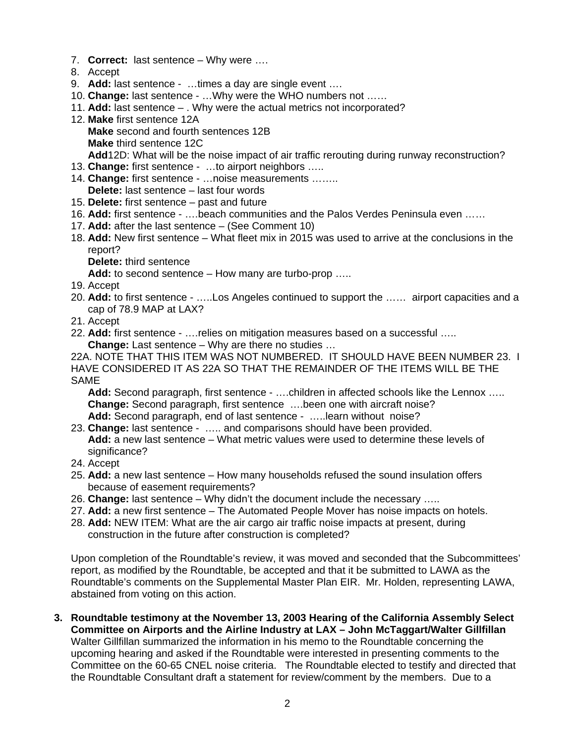- 7. **Correct:** last sentence Why were ….
- 8. Accept
- 9. **Add:** last sentence …times a day are single event ….
- 10. **Change:** last sentence …Why were the WHO numbers not ……
- 11. **Add:** last sentence . Why were the actual metrics not incorporated?
- 12. **Make** first sentence 12A **Make** second and fourth sentences 12B **Make** third sentence 12C **Add**12D: What will be the noise impact of air traffic rerouting during runway reconstruction?
- 13. **Change:** first sentence …to airport neighbors …..
- 14. **Change:** first sentence …noise measurements …….. **Delete:** last sentence – last four words
- 15. **Delete:** first sentence past and future
- 16. **Add:** first sentence ….beach communities and the Palos Verdes Peninsula even ……
- 17. **Add:** after the last sentence (See Comment 10)
- 18. **Add:** New first sentence What fleet mix in 2015 was used to arrive at the conclusions in the report?

## **Delete:** third sentence

Add: to second sentence – How many are turbo-prop .....

- 19. Accept
- 20. **Add:** to first sentence …..Los Angeles continued to support the …… airport capacities and a cap of 78.9 MAP at LAX?
- 21. Accept
- 22. **Add:** first sentence ….relies on mitigation measures based on a successful ….. **Change:** Last sentence – Why are there no studies …

22A. NOTE THAT THIS ITEM WAS NOT NUMBERED. IT SHOULD HAVE BEEN NUMBER 23. I HAVE CONSIDERED IT AS 22A SO THAT THE REMAINDER OF THE ITEMS WILL BE THE SAME

Add: Second paragraph, first sentence - ....children in affected schools like the Lennox ..... **Change:** Second paragraph, first sentence ….been one with aircraft noise? **Add:** Second paragraph, end of last sentence - …..learn without noise?

- 23. **Change:** last sentence ….. and comparisons should have been provided. **Add:** a new last sentence – What metric values were used to determine these levels of significance?
- 24. Accept
- 25. **Add:** a new last sentence How many households refused the sound insulation offers because of easement requirements?
- 26. **Change:** last sentence Why didn't the document include the necessary …..
- 27. **Add:** a new first sentence The Automated People Mover has noise impacts on hotels.
- 28. **Add:** NEW ITEM: What are the air cargo air traffic noise impacts at present, during construction in the future after construction is completed?

Upon completion of the Roundtable's review, it was moved and seconded that the Subcommittees' report, as modified by the Roundtable, be accepted and that it be submitted to LAWA as the Roundtable's comments on the Supplemental Master Plan EIR. Mr. Holden, representing LAWA, abstained from voting on this action.

**3. Roundtable testimony at the November 13, 2003 Hearing of the California Assembly Select Committee on Airports and the Airline Industry at LAX – John McTaggart/Walter Gillfillan**  Walter Gillfillan summarized the information in his memo to the Roundtable concerning the upcoming hearing and asked if the Roundtable were interested in presenting comments to the Committee on the 60-65 CNEL noise criteria. The Roundtable elected to testify and directed that the Roundtable Consultant draft a statement for review/comment by the members. Due to a